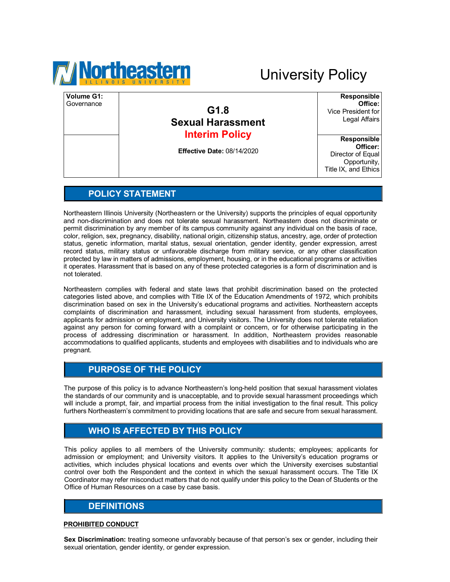

# University Policy

| Volume G1:<br>Governance | G1.8<br><b>Sexual Harassment</b><br><b>Interim Policy</b> | <b>Responsible</b><br>Office:<br>Vice President for<br>Legal Affairs  |
|--------------------------|-----------------------------------------------------------|-----------------------------------------------------------------------|
|                          |                                                           | <b>Responsible</b>                                                    |
|                          | <b>Effective Date: 08/14/2020</b>                         | Officer:<br>Director of Equal<br>Opportunity,<br>Title IX, and Ethics |

### **POLICY STATEMENT**

Northeastern Illinois University (Northeastern or the University) supports the principles of equal opportunity and non-discrimination and does not tolerate sexual harassment. Northeastern does not discriminate or permit discrimination by any member of its campus community against any individual on the basis of race, color, religion, sex, pregnancy, disability, national origin, citizenship status, ancestry, age, order of protection status, genetic information, marital status, sexual orientation, gender identity, gender expression, arrest record status, military status or unfavorable discharge from military service, or any other classification protected by law in matters of admissions, employment, housing, or in the educational programs or activities it operates. Harassment that is based on any of these protected categories is a form of discrimination and is not tolerated.

Northeastern complies with federal and state laws that prohibit discrimination based on the protected categories listed above, and complies with Title IX of the Education Amendments of 1972, which prohibits discrimination based on sex in the University's educational programs and activities. Northeastern accepts complaints of discrimination and harassment, including sexual harassment from students, employees, applicants for admission or employment, and University visitors. The University does not tolerate retaliation against any person for coming forward with a complaint or concern, or for otherwise participating in the process of addressing discrimination or harassment. In addition, Northeastern provides reasonable accommodations to qualified applicants, students and employees with disabilities and to individuals who are pregnant.

### **PURPOSE OF THE POLICY**

The purpose of this policy is to advance Northeastern's long-held position that sexual harassment violates the standards of our community and is unacceptable, and to provide sexual harassment proceedings which will include a prompt, fair, and impartial process from the initial investigation to the final result. This policy furthers Northeastern's commitment to providing locations that are safe and secure from sexual harassment.

### **WHO IS AFFECTED BY THIS POLICY**

This policy applies to all members of the University community: students; employees; applicants for admission or employment; and University visitors. It applies to the University's education programs or activities, which includes physical locations and events over which the University exercises substantial control over both the Respondent and the context in which the sexual harassment occurs. The Title IX Coordinator may refer misconduct matters that do not qualify under this policy to the Dean of Students or the Office of Human Resources on a case by case basis.

### **DEFINITIONS**

#### **PROHIBITED CONDUCT**

**Sex Discrimination:** treating someone unfavorably because of that person's sex or gender, including their sexual orientation, gender identity, or gender expression.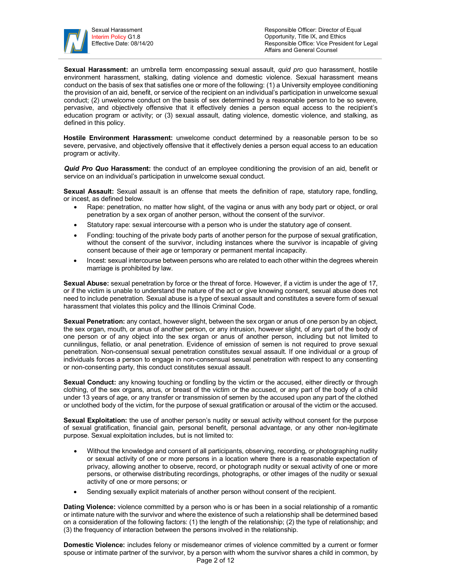

Responsible Officer: Director of Equal Opportunity, Title IX, and Ethics Responsible Office: Vice President for Legal Affairs and General Counsel

**Sexual Harassment:** an umbrella term encompassing sexual assault, *quid pro quo* harassment, hostile environment harassment, stalking, dating violence and domestic violence. Sexual harassment means conduct on the basis of sex that satisfies one or more of the following: (1) a University employee conditioning the provision of an aid, benefit, or service of the recipient on an individual's participation in unwelcome sexual conduct; (2) unwelcome conduct on the basis of sex determined by a reasonable person to be so severe, pervasive, and objectively offensive that it effectively denies a person equal access to the recipient's education program or activity; or (3) sexual assault, dating violence, domestic violence, and stalking, as defined in this policy.

**Hostile Environment Harassment:** unwelcome conduct determined by a reasonable person to be so severe, pervasive, and objectively offensive that it effectively denies a person equal access to an education program or activity.

*Quid Pro Quo* **Harassment:** the conduct of an employee conditioning the provision of an aid, benefit or service on an individual's participation in unwelcome sexual conduct.

**Sexual Assault:** Sexual assault is an offense that meets the definition of rape, statutory rape, fondling, or incest, as defined below.

- Rape: penetration, no matter how slight, of the vagina or anus with any body part or object, or oral penetration by a sex organ of another person, without the consent of the survivor.
- Statutory rape: sexual intercourse with a person who is under the statutory age of consent.
- Fondling: touching of the private body parts of another person for the purpose of sexual gratification, without the consent of the survivor, including instances where the survivor is incapable of giving consent because of their age or temporary or permanent mental incapacity.
- Incest: sexual intercourse between persons who are related to each other within the degrees wherein marriage is prohibited by law.

**Sexual Abuse:** sexual penetration by force or the threat of force. However, if a victim is under the age of 17, or if the victim is unable to understand the nature of the act or give knowing consent, sexual abuse does not need to include penetration. Sexual abuse is a type of sexual assault and constitutes a severe form of sexual harassment that violates this policy and the Illinois Criminal Code.

**Sexual Penetration:** any contact, however slight, between the sex organ or anus of one person by an object, the sex organ, mouth, or anus of another person, or any intrusion, however slight, of any part of the body of one person or of any object into the sex organ or anus of another person, including but not limited to cunnilingus, fellatio, or anal penetration. Evidence of emission of semen is not required to prove sexual penetration. Non-consensual sexual penetration constitutes sexual assault. If one individual or a group of individuals forces a person to engage in non-consensual sexual penetration with respect to any consenting or non-consenting party, this conduct constitutes sexual assault.

**Sexual Conduct:** any knowing touching or fondling by the victim or the accused, either directly or through clothing, of the sex organs, anus, or breast of the victim or the accused, or any part of the body of a child under 13 years of age, or any transfer or transmission of semen by the accused upon any part of the clothed or unclothed body of the victim, for the purpose of sexual gratification or arousal of the victim or the accused.

**Sexual Exploitation:** the use of another person's nudity or sexual activity without consent for the purpose of sexual gratification, financial gain, personal benefit, personal advantage, or any other non-legitimate purpose. Sexual exploitation includes, but is not limited to:

- Without the knowledge and consent of all participants, observing, recording, or photographing nudity or sexual activity of one or more persons in a location where there is a reasonable expectation of privacy, allowing another to observe, record, or photograph nudity or sexual activity of one or more persons, or otherwise distributing recordings, photographs, or other images of the nudity or sexual activity of one or more persons; or
- Sending sexually explicit materials of another person without consent of the recipient.

**Dating Violence:** violence committed by a person who is or has been in a social relationship of a romantic or intimate nature with the survivor and where the existence of such a relationship shall be determined based on a consideration of the following factors: (1) the length of the relationship; (2) the type of relationship; and (3) the frequency of interaction between the persons involved in the relationship.

Page 2 of 12 **Domestic Violence:** includes felony or misdemeanor crimes of violence committed by a current or former spouse or intimate partner of the survivor, by a person with whom the survivor shares a child in common, by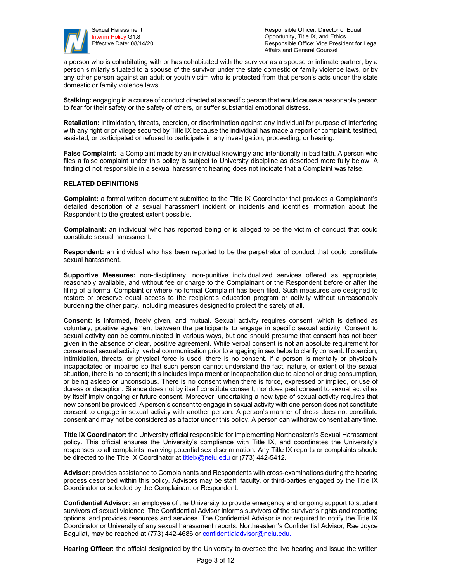

Responsible Officer: Director of Equal Opportunity, Title IX, and Ethics Responsible Office: Vice President for Legal Affairs and General Counsel

a person who is cohabitating with or has cohabitated with the survivor as a spouse or intimate partner, by a person similarly situated to a spouse of the survivor under the state domestic or family violence laws, or by any other person against an adult or youth victim who is protected from that person's acts under the state domestic or family violence laws.

**Stalking:** engaging in a course of conduct directed at a specific person that would cause a reasonable person to fear for their safety or the safety of others, or suffer substantial emotional distress.

**Retaliation:** intimidation, threats, coercion, or discrimination against any individual for purpose of interfering with any right or privilege secured by Title IX because the individual has made a report or complaint, testified, assisted, or participated or refused to participate in any investigation, proceeding, or hearing.

**False Complaint:** a Complaint made by an individual knowingly and intentionally in bad faith. A person who files a false complaint under this policy is subject to University discipline as described more fully below. A finding of not responsible in a sexual harassment hearing does not indicate that a Complaint was false.

#### **RELATED DEFINITIONS**

**Complaint:** a formal written document submitted to the Title IX Coordinator that provides a Complainant's detailed description of a sexual harassment incident or incidents and identifies information about the Respondent to the greatest extent possible.

**Complainant:** an individual who has reported being or is alleged to be the victim of conduct that could constitute sexual harassment.

**Respondent:** an individual who has been reported to be the perpetrator of conduct that could constitute sexual harassment.

**Supportive Measures:** non-disciplinary, non-punitive individualized services offered as appropriate, reasonably available, and without fee or charge to the Complainant or the Respondent before or after the filing of a formal Complaint or where no formal Complaint has been filed. Such measures are designed to restore or preserve equal access to the recipient's education program or activity without unreasonably burdening the other party, including measures designed to protect the safety of all.

**Consent:** is informed, freely given, and mutual. Sexual activity requires consent, which is defined as voluntary, positive agreement between the participants to engage in specific sexual activity. Consent to sexual activity can be communicated in various ways, but one should presume that consent has not been given in the absence of clear, positive agreement. While verbal consent is not an absolute requirement for consensual sexual activity, verbal communication prior to engaging in sex helps to clarify consent. If coercion, intimidation, threats, or physical force is used, there is no consent. If a person is mentally or physically incapacitated or impaired so that such person cannot understand the fact, nature, or extent of the sexual situation, there is no consent; this includes impairment or incapacitation due to alcohol or drug consumption, or being asleep or unconscious. There is no consent when there is force, expressed or implied, or use of duress or deception. Silence does not by itself constitute consent, nor does past consent to sexual activities by itself imply ongoing or future consent. Moreover, undertaking a new type of sexual activity requires that new consent be provided. A person's consent to engage in sexual activity with one person does not constitute consent to engage in sexual activity with another person. A person's manner of dress does not constitute consent and may not be considered as a factor under this policy. A person can withdraw consent at any time.

**Title IX Coordinator:** the University official responsible for implementing Northeastern's Sexual Harassment policy. This official ensures the University's compliance with Title IX, and coordinates the University's responses to all complaints involving potential sex discrimination. Any Title IX reports or complaints should be directed to the Title IX Coordinator at titleix@neiu.edu or (773) 442-5412.

**Advisor:** provides assistance to Complainants and Respondents with cross-examinations during the hearing process described within this policy. Advisors may be staff, faculty, or third-parties engaged by the Title IX Coordinator or selected by the Complainant or Respondent.

**Confidential Advisor:** an employee of the University to provide emergency and ongoing support to student survivors of sexual violence. The Confidential Advisor informs survivors of the survivor's rights and reporting options, and provides resources and services. The Confidential Advisor is not required to notify the Title IX Coordinator or University of any sexual harassment reports. Northeastern's Confidential Advisor, Rae Joyce Baguilat, may be reached at (773) 442-4686 or confidentialadvisor@neiu.edu.

**Hearing Officer:** the official designated by the University to oversee the live hearing and issue the written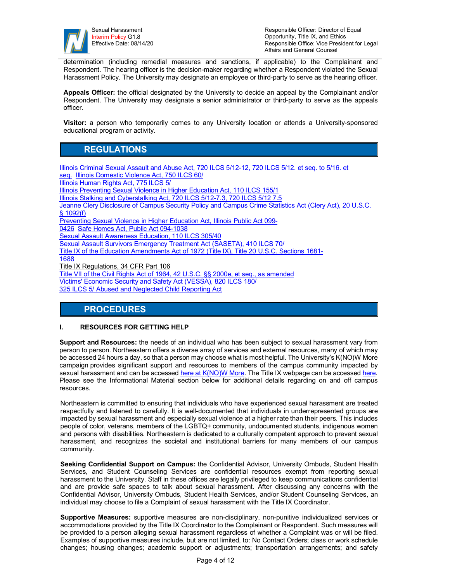

determination (including remedial measures and sanctions, if applicable) to the Complainant and Respondent. The hearing officer is the decision-maker regarding whether a Respondent violated the Sexual Harassment Policy. The University may designate an employee or third-party to serve as the hearing officer.

**Appeals Officer:** the official designated by the University to decide an appeal by the Complainant and/or Respondent. The University may designate a senior administrator or third-party to serve as the appeals officer.

**Visitor:** a person who temporarily comes to any University location or attends a University-sponsored educational program or activity.

### **REGULATIONS**

Illinois Criminal Sexual Assault and Abuse Act, 720 ILCS 5/12-12, 720 ILCS 5/12. et seq. to 5/16. et seq. Illinois Domestic Violence Act, 750 ILCS 60/ Illinois Human Rights Act, 775 ILCS 5/ Illinois Preventing Sexual Violence in Higher Education Act, 110 ILCS 155/1 Illinois Stalking and Cyberstalking Act, 720 ILCS 5/12-7.3, 720 ILCS 5/12 7.5 Jeanne Clery Disclosure of Campus Security Policy and Campus Crime Statistics Act (Clery Act), 20 U.S.C. § 1092(f) Preventing Sexual Violence in Higher Education Act, Illinois Public Act 099- 0426 Safe Homes Act, Public Act 094-1038 Sexual Assault Awareness Education, 110 ILCS 305/40 Sexual Assault Survivors Emergency Treatment Act (SASETA), 410 ILCS 70/ Title IX of the Education Amendments Act of 1972 (Title IX), Title 20 U.S.C. Sections 1681- 1688 Title IX Regulations, 34 CFR Part 106 Title VII of the Civil Rights Act of 1964, 42 U.S.C. §§ 2000e, et seq., as amended Victims' Economic Security and Safety Act (VESSA), 820 ILCS 180/ 325 ILCS 5/ Abused and Neglected Child Reporting Act

### **PROCEDURES**

#### **I. RESOURCES FOR GETTING HELP**

**Support and Resources:** the needs of an individual who has been subject to sexual harassment vary from person to person. Northeastern offers a diverse array of services and external resources, many of which may be accessed 24 hours a day, so that a person may choose what is most helpful. The University's K(NO)W More campaign provides significant support and resources to members of the campus community impacted by sexual harassment and can be accessed here at K(NO)W More. The Title IX webpage can be accessed here. Please see the Informational Material section below for additional details regarding on and off campus resources.

Northeastern is committed to ensuring that individuals who have experienced sexual harassment are treated respectfully and listened to carefully. It is well-documented that individuals in underrepresented groups are impacted by sexual harassment and especially sexual violence at a higher rate than their peers. This includes people of color, veterans, members of the LGBTQ+ community, undocumented students, indigenous women and persons with disabilities. Northeastern is dedicated to a culturally competent approach to prevent sexual harassment, and recognizes the societal and institutional barriers for many members of our campus community.

**Seeking Confidential Support on Campus:** the Confidential Advisor, University Ombuds, Student Health Services, and Student Counseling Services are confidential resources exempt from reporting sexual harassment to the University. Staff in these offices are legally privileged to keep communications confidential and are provide safe spaces to talk about sexual harassment. After discussing any concerns with the Confidential Advisor, University Ombuds, Student Health Services, and/or Student Counseling Services, an individual may choose to file a Complaint of sexual harassment with the Title IX Coordinator.

**Supportive Measures:** supportive measures are non-disciplinary, non-punitive individualized services or accommodations provided by the Title IX Coordinator to the Complainant or Respondent. Such measures will be provided to a person alleging sexual harassment regardless of whether a Complaint was or will be filed. Examples of supportive measures include, but are not limited, to: No Contact Orders; class or work schedule changes; housing changes; academic support or adjustments; transportation arrangements; and safety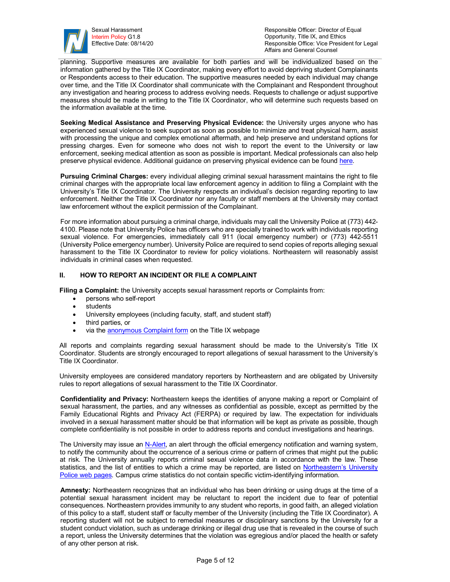

Responsible Officer: Director of Equal Opportunity, Title IX, and Ethics Responsible Office: Vice President for Legal Affairs and General Counsel

planning. Supportive measures are available for both parties and will be individualized based on the information gathered by the Title IX Coordinator, making every effort to avoid depriving student Complainants or Respondents access to their education. The supportive measures needed by each individual may change over time, and the Title IX Coordinator shall communicate with the Complainant and Respondent throughout any investigation and hearing process to address evolving needs. Requests to challenge or adjust supportive measures should be made in writing to the Title IX Coordinator, who will determine such requests based on the information available at the time.

**Seeking Medical Assistance and Preserving Physical Evidence:** the University urges anyone who has experienced sexual violence to seek support as soon as possible to minimize and treat physical harm, assist with processing the unique and complex emotional aftermath, and help preserve and understand options for pressing charges. Even for someone who does not wish to report the event to the University or law enforcement, seeking medical attention as soon as possible is important. Medical professionals can also help preserve physical evidence. Additional guidance on preserving physical evidence can be found here.

**Pursuing Criminal Charges:** every individual alleging criminal sexual harassment maintains the right to file criminal charges with the appropriate local law enforcement agency in addition to filing a Complaint with the University's Title IX Coordinator. The University respects an individual's decision regarding reporting to law enforcement. Neither the Title IX Coordinator nor any faculty or staff members at the University may contact law enforcement without the explicit permission of the Complainant.

For more information about pursuing a criminal charge, individuals may call the University Police at (773) 442- 4100. Please note that University Police has officers who are specially trained to work with individuals reporting sexual violence. For emergencies, immediately call 911 (local emergency number) or (773) 442-5511 (University Police emergency number). University Police are required to send copies of reports alleging sexual harassment to the Title IX Coordinator to review for policy violations. Northeastern will reasonably assist individuals in criminal cases when requested.

#### **II. HOW TO REPORT AN INCIDENT OR FILE A COMPLAINT**

**Filing a Complaint:** the University accepts sexual harassment reports or Complaints from:

- persons who self-report
- **students**
- University employees (including faculty, staff, and student staff)
- third parties, or
- via the **anonymous Complaint form** on the Title IX webpage

All reports and complaints regarding sexual harassment should be made to the University's Title IX Coordinator. Students are strongly encouraged to report allegations of sexual harassment to the University's Title IX Coordinator.

University employees are considered mandatory reporters by Northeastern and are obligated by University rules to report allegations of sexual harassment to the Title IX Coordinator.

**Confidentiality and Privacy:** Northeastern keeps the identities of anyone making a report or Complaint of sexual harassment, the parties, and any witnesses as confidential as possible, except as permitted by the Family Educational Rights and Privacy Act (FERPA) or required by law. The expectation for individuals involved in a sexual harassment matter should be that information will be kept as private as possible, though complete confidentiality is not possible in order to address reports and conduct investigations and hearings.

The University may issue an N-Alert, an alert through the official emergency notification and warning system, to notify the community about the occurrence of a serious crime or pattern of crimes that might put the public at risk. The University annually reports criminal sexual violence data in accordance with the law. These statistics, and the list of entities to which a crime may be reported, are listed on Northeastern's University Police web pages. Campus crime statistics do not contain specific victim-identifying information.

**Amnesty:** Northeastern recognizes that an individual who has been drinking or using drugs at the time of a potential sexual harassment incident may be reluctant to report the incident due to fear of potential consequences. Northeastern provides immunity to any student who reports, in good faith, an alleged violation of this policy to a staff, student staff or faculty member of the University (including the Title IX Coordinator). A reporting student will not be subject to remedial measures or disciplinary sanctions by the University for a student conduct violation, such as underage drinking or illegal drug use that is revealed in the course of such a report, unless the University determines that the violation was egregious and/or placed the health or safety of any other person at risk.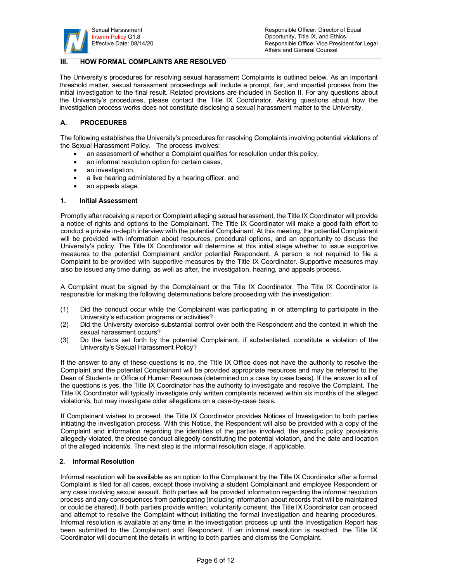

#### **III. HOW FORMAL COMPLAINTS ARE RESOLVED**

The University's procedures for resolving sexual harassment Complaints is outlined below. As an important threshold matter, sexual harassment proceedings will include a prompt, fair, and impartial process from the initial investigation to the final result. Related provisions are included in Section II. For any questions about the University's procedures, please contact the Title IX Coordinator. Asking questions about how the investigation process works does not constitute disclosing a sexual harassment matter to the University.

#### **A. PROCEDURES**

The following establishes the University's procedures for resolving Complaints involving potential violations of the Sexual Harassment Policy. The process involves:

- an assessment of whether a Complaint qualifies for resolution under this policy,
- an informal resolution option for certain cases,
- an investigation,
- a live hearing administered by a hearing officer, and
- an appeals stage.

#### **1. Initial Assessment**

Promptly after receiving a report or Complaint alleging sexual harassment, the Title IX Coordinator will provide a notice of rights and options to the Complainant. The Title IX Coordinator will make a good faith effort to conduct a private in-depth interview with the potential Complainant. At this meeting, the potential Complainant will be provided with information about resources, procedural options, and an opportunity to discuss the University's policy. The Title IX Coordinator will determine at this initial stage whether to issue supportive measures to the potential Complainant and/or potential Respondent. A person is not required to file a Complaint to be provided with supportive measures by the Title IX Coordinator. Supportive measures may also be issued any time during, as well as after, the investigation, hearing, and appeals process.

A Complaint must be signed by the Complainant or the Title IX Coordinator. The Title IX Coordinator is responsible for making the following determinations before proceeding with the investigation:

- (1) Did the conduct occur while the Complainant was participating in or attempting to participate in the University's education programs or activities?
- (2) Did the University exercise substantial control over both the Respondent and the context in which the sexual harassment occurs?
- (3) Do the facts set forth by the potential Complainant, if substantiated, constitute a violation of the University's Sexual Harassment Policy?

If the answer to any of these questions is no, the Title IX Office does not have the authority to resolve the Complaint and the potential Complainant will be provided appropriate resources and may be referred to the Dean of Students or Office of Human Resources (determined on a case by case basis). If the answer to all of the questions is yes, the Title IX Coordinator has the authority to investigate and resolve the Complaint. The Title IX Coordinator will typically investigate only written complaints received within six months of the alleged violation/s, but may investigate older allegations on a case-by-case basis.

If Complainant wishes to proceed, the Title IX Coordinator provides Notices of Investigation to both parties initiating the investigation process. With this Notice, the Respondent will also be provided with a copy of the Complaint and information regarding the identities of the parties involved, the specific policy provision/s allegedly violated, the precise conduct allegedly constituting the potential violation, and the date and location of the alleged incident/s. The next step is the informal resolution stage, if applicable.

#### **2. Informal Resolution**

Informal resolution will be available as an option to the Complainant by the Title IX Coordinator after a formal Complaint is filed for all cases, except those involving a student Complainant and employee Respondent or any case involving sexual assault. Both parties will be provided information regarding the informal resolution process and any consequences from participating (including information about records that will be maintained or could be shared). If both parties provide written, voluntarily consent, the Title IX Coordinator can proceed and attempt to resolve the Complaint without initiating the formal investigation and hearing procedures. Informal resolution is available at any time in the investigation process up until the Investigation Report has been submitted to the Complainant and Respondent. If an informal resolution is reached, the Title IX Coordinator will document the details in writing to both parties and dismiss the Complaint.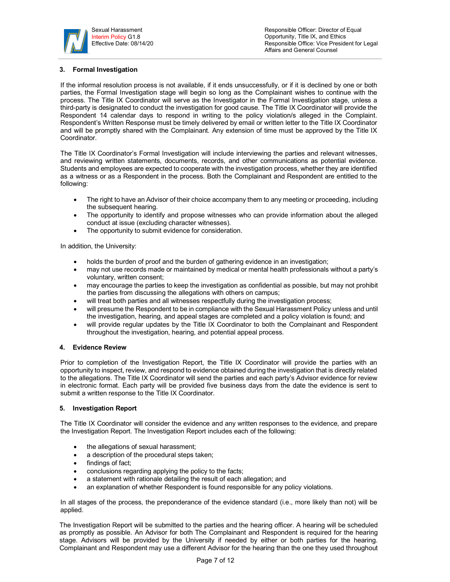

#### **3. Formal Investigation**

If the informal resolution process is not available, if it ends unsuccessfully, or if it is declined by one or both parties, the Formal Investigation stage will begin so long as the Complainant wishes to continue with the process. The Title IX Coordinator will serve as the Investigator in the Formal Investigation stage, unless a third-party is designated to conduct the investigation for good cause. The Title IX Coordinator will provide the Respondent 14 calendar days to respond in writing to the policy violation/s alleged in the Complaint. Respondent's Written Response must be timely delivered by email or written letter to the Title IX Coordinator and will be promptly shared with the Complainant. Any extension of time must be approved by the Title IX Coordinator.

The Title IX Coordinator's Formal Investigation will include interviewing the parties and relevant witnesses, and reviewing written statements, documents, records, and other communications as potential evidence. Students and employees are expected to cooperate with the investigation process, whether they are identified as a witness or as a Respondent in the process. Both the Complainant and Respondent are entitled to the following:

- The right to have an Advisor of their choice accompany them to any meeting or proceeding, including the subsequent hearing.
- The opportunity to identify and propose witnesses who can provide information about the alleged conduct at issue (excluding character witnesses).
- The opportunity to submit evidence for consideration.

In addition, the University:

- holds the burden of proof and the burden of gathering evidence in an investigation;
- may not use records made or maintained by medical or mental health professionals without a party's voluntary, written consent;
- may encourage the parties to keep the investigation as confidential as possible, but may not prohibit the parties from discussing the allegations with others on campus;
- will treat both parties and all witnesses respectfully during the investigation process;
- will presume the Respondent to be in compliance with the Sexual Harassment Policy unless and until the investigation, hearing, and appeal stages are completed and a policy violation is found; and
- will provide regular updates by the Title IX Coordinator to both the Complainant and Respondent throughout the investigation, hearing, and potential appeal process.

#### **4. Evidence Review**

Prior to completion of the Investigation Report, the Title IX Coordinator will provide the parties with an opportunity to inspect, review, and respond to evidence obtained during the investigation that is directly related to the allegations. The Title IX Coordinator will send the parties and each party's Advisor evidence for review in electronic format. Each party will be provided five business days from the date the evidence is sent to submit a written response to the Title IX Coordinator.

#### **5. Investigation Report**

The Title IX Coordinator will consider the evidence and any written responses to the evidence, and prepare the Investigation Report. The Investigation Report includes each of the following:

- the allegations of sexual harassment;
- a description of the procedural steps taken;
- findings of fact;
- conclusions regarding applying the policy to the facts;
- a statement with rationale detailing the result of each allegation; and
- an explanation of whether Respondent is found responsible for any policy violations.

In all stages of the process, the preponderance of the evidence standard (i.e., more likely than not) will be applied.

The Investigation Report will be submitted to the parties and the hearing officer. A hearing will be scheduled as promptly as possible. An Advisor for both The Complainant and Respondent is required for the hearing stage. Advisors will be provided by the University if needed by either or both parties for the hearing. Complainant and Respondent may use a different Advisor for the hearing than the one they used throughout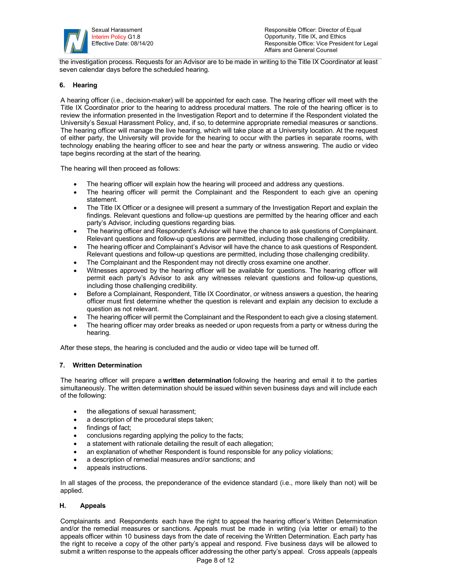

the investigation process. Requests for an Advisor are to be made in writing to the Title IX Coordinator at least seven calendar days before the scheduled hearing.

#### **6. Hearing**

A hearing officer (i.e., decision-maker) will be appointed for each case. The hearing officer will meet with the Title IX Coordinator prior to the hearing to address procedural matters. The role of the hearing officer is to review the information presented in the Investigation Report and to determine if the Respondent violated the University's Sexual Harassment Policy, and, if so, to determine appropriate remedial measures or sanctions. The hearing officer will manage the live hearing, which will take place at a University location. At the request of either party, the University will provide for the hearing to occur with the parties in separate rooms, with technology enabling the hearing officer to see and hear the party or witness answering. The audio or video tape begins recording at the start of the hearing.

The hearing will then proceed as follows:

- The hearing officer will explain how the hearing will proceed and address any questions.
- The hearing officer will permit the Complainant and the Respondent to each give an opening statement.
- The Title IX Officer or a designee will present a summary of the Investigation Report and explain the findings. Relevant questions and follow-up questions are permitted by the hearing officer and each party's Advisor, including questions regarding bias.
- The hearing officer and Respondent's Advisor will have the chance to ask questions of Complainant. Relevant questions and follow-up questions are permitted, including those challenging credibility.
- The hearing officer and Complainant's Advisor will have the chance to ask questions of Respondent. Relevant questions and follow-up questions are permitted, including those challenging credibility.
- The Complainant and the Respondent may not directly cross examine one another.
- Witnesses approved by the hearing officer will be available for questions. The hearing officer will permit each party's Advisor to ask any witnesses relevant questions and follow-up questions, including those challenging credibility.
- Before a Complainant, Respondent, Title IX Coordinator, or witness answers a question, the hearing officer must first determine whether the question is relevant and explain any decision to exclude a question as not relevant.
- The hearing officer will permit the Complainant and the Respondent to each give a closing statement.
- The hearing officer may order breaks as needed or upon requests from a party or witness during the hearing.

After these steps, the hearing is concluded and the audio or video tape will be turned off.

#### **7. Written Determination**

The hearing officer will prepare a **written determination** following the hearing and email it to the parties simultaneously. The written determination should be issued within seven business days and will include each of the following:

- the allegations of sexual harassment;
- a description of the procedural steps taken;
- findings of fact;
- conclusions regarding applying the policy to the facts;
- a statement with rationale detailing the result of each allegation;
- an explanation of whether Respondent is found responsible for any policy violations;
- a description of remedial measures and/or sanctions; and
- appeals instructions.

In all stages of the process, the preponderance of the evidence standard (i.e., more likely than not) will be applied.

#### **H. Appeals**

Complainants and Respondents each have the right to appeal the hearing officer's Written Determination and/or the remedial measures or sanctions. Appeals must be made in writing (via letter or email) to the appeals officer within 10 business days from the date of receiving the Written Determination. Each party has the right to receive a copy of the other party's appeal and respond. Five business days will be allowed to submit a written response to the appeals officer addressing the other party's appeal. Cross appeals (appeals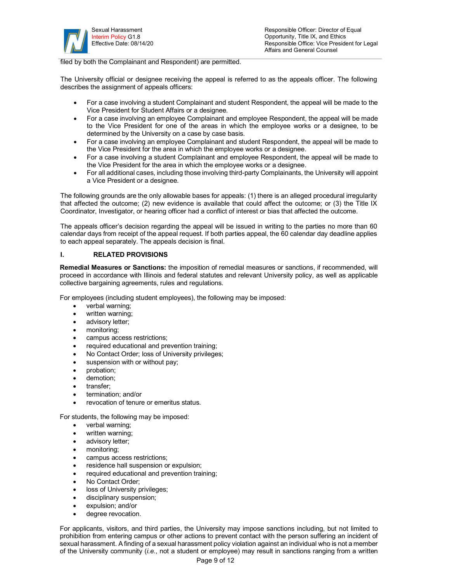

filed by both the Complainant and Respondent) are permitted.

The University official or designee receiving the appeal is referred to as the appeals officer. The following describes the assignment of appeals officers:

- For a case involving a student Complainant and student Respondent, the appeal will be made to the Vice President for Student Affairs or a designee.
- For a case involving an employee Complainant and employee Respondent, the appeal will be made to the Vice President for one of the areas in which the employee works or a designee, to be determined by the University on a case by case basis.
- For a case involving an employee Complainant and student Respondent, the appeal will be made to the Vice President for the area in which the employee works or a designee.
- For a case involving a student Complainant and employee Respondent, the appeal will be made to the Vice President for the area in which the employee works or a designee.
- For all additional cases, including those involving third-party Complainants, the University will appoint a Vice President or a designee.

The following grounds are the only allowable bases for appeals: (1) there is an alleged procedural irregularity that affected the outcome; (2) new evidence is available that could affect the outcome; or (3) the Title IX Coordinator, Investigator, or hearing officer had a conflict of interest or bias that affected the outcome.

The appeals officer's decision regarding the appeal will be issued in writing to the parties no more than 60 calendar days from receipt of the appeal request. If both parties appeal, the 60 calendar day deadline applies to each appeal separately. The appeals decision is final.

#### **I. RELATED PROVISIONS**

**Remedial Measures or Sanctions:** the imposition of remedial measures or sanctions, if recommended, will proceed in accordance with Illinois and federal statutes and relevant University policy, as well as applicable collective bargaining agreements, rules and regulations.

For employees (including student employees), the following may be imposed:

- verbal warning;
- written warning;
- advisory letter;
- monitoring:
- campus access restrictions;
- required educational and prevention training;
- No Contact Order; loss of University privileges;
- suspension with or without pay;
- probation;
- demotion;
- transfer;
- termination; and/or
- revocation of tenure or emeritus status.

For students, the following may be imposed:

- verbal warning;
- written warning;
- advisory letter;
- monitoring;
- campus access restrictions;
- residence hall suspension or expulsion;
- required educational and prevention training;
- No Contact Order:
- loss of University privileges;
- disciplinary suspension;
- expulsion; and/or
- degree revocation.

For applicants, visitors, and third parties, the University may impose sanctions including, but not limited to prohibition from entering campus or other actions to prevent contact with the person suffering an incident of sexual harassment. A finding of a sexual harassment policy violation against an individual who is not a member of the University community (*i.e*., not a student or employee) may result in sanctions ranging from a written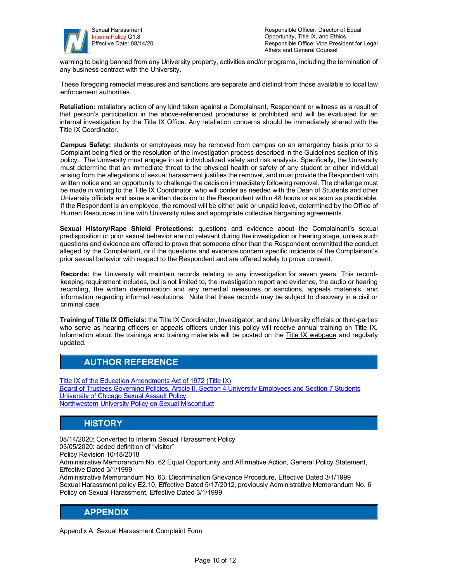

warning to being banned from any University property, activities and/or programs, including the termination of any business contract with the University.

These foregoing remedial measures and sanctions are separate and distinct from those available to local law enforcement authorities.

**Retaliation:** retaliatory action of any kind taken against a Complainant, Respondent or witness as a result of that person's participation in the above-referenced procedures is prohibited and will be evaluated for an internal investigation by the Title IX Office. Any retaliation concerns should be immediately shared with the Title IX Coordinator.

**Campus Safety:** students or employees may be removed from campus on an emergency basis prior to a Complaint being filed or the resolution of the investigation process described in the Guidelines section of this policy*.* The University must engage in an individualized safety and risk analysis. Specifically, the University must determine that an immediate threat to the physical health or safety of any student or other individual arising from the allegations of sexual harassment justifies the removal, and must provide the Respondent with written notice and an opportunity to challenge the decision immediately following removal. The challenge must be made in writing to the Title IX Coordinator, who will confer as needed with the Dean of Students and other University officials and issue a written decision to the Respondent within 48 hours or as soon as practicable. If the Respondent is an employee, the removal will be either paid or unpaid leave, determined by the Office of Human Resources in line with University rules and appropriate collective bargaining agreements.

**Sexual History/Rape Shield Protections:** questions and evidence about the Complainant's sexual predisposition or prior sexual behavior are not relevant during the investigation or hearing stage, unless such questions and evidence are offered to prove that someone other than the Respondent committed the conduct alleged by the Complainant, or if the questions and evidence concern specific incidents of the Complainant's prior sexual behavior with respect to the Respondent and are offered solely to prove consent.

**Records:** the University will maintain records relating to any investigation for seven years. This recordkeeping requirement includes, but is not limited to, the investigation report and evidence, the audio or hearing recording, the written determination and any remedial measures or sanctions, appeals materials, and information regarding informal resolutions. Note that these records may be subject to discovery in a civil or criminal case.

**Training of Title IX Officials:** the Title IX Coordinator, Investigator, and any University officials or third-parties who serve as hearing officers or appeals officers under this policy will receive annual training on Title IX. Information about the trainings and training materials will be posted on the **Title IX webpage** and regularly updated.

### **AUTHOR REFERENCE**

Title IX of the Education Amendments Act of 1972 (Title IX) Board of Trustees Governing Policies, Article II, Section 4 University Employees and Section 7 Students **University of Chicago Sexual Assault Policy** Northwestern University Policy on Sexual Misconduct

### **HISTORY**

08/14/2020: Converted to Interim Sexual Harassment Policy 03/05/2020: added definition of "visitor"

Policy Revision 10/18/2018

Administrative Memorandum No. 62 Equal Opportunity and Affirmative Action, General Policy Statement, Effective Dated 3/1/1999

Administrative Memorandum No. 63, Discrimination Grievance Procedure, Effective Dated 3/1/1999 Sexual Harassment policy E2.10, Effective Dated 5/17/2012, previously Administrative Memorandum No. 6 Policy on Sexual Harassment, Effective Dated 3/1/1999

### **APPENDIX**

Appendix A: Sexual Harassment Complaint Form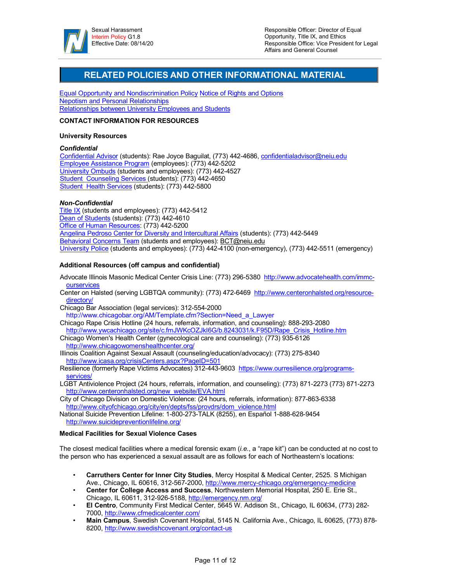

### **RELATED POLICIES AND OTHER INFORMATIONAL MATERIAL**

Equal Opportunity and Nondiscrimination Policy Notice of Rights and Options Nepotism and Personal Relationships Relationships between University Employees and Students

#### **CONTACT INFORMATION FOR RESOURCES**

#### **University Resources**

#### *Confidential*

Confidential Advisor (students): Rae Joyce Baguilat, (773) 442-4686, confidentialadvisor@neiu.edu Employee Assistance Program (employees): (773) 442-5202 University Ombuds (students and employees): (773) 442-4527 Student Counseling Services (students): (773) 442-4650 Student Health Services (students): (773) 442-5800

#### *Non-Confidential*

Title IX (students and employees): (773) 442-5412 Dean of Students (students): (773) 442-4610 Office of Human Resources: (773) 442-5200 Angelina Pedroso Center for Diversity and Intercultural Affairs (students): (773) 442-5449 Behavioral Concerns Team (students and employees): BCT@neiu.edu University Police (students and employees): (773) 442-4100 (non-emergency), (773) 442-5511 (emergency)

#### **Additional Resources (off campus and confidential)**

- Advocate Illinois Masonic Medical Center Crisis Line: (773) 296-5380 http://www.advocatehealth.com/immcourservices
- Center on Halsted (serving LGBTQA community): (773) 472-6469 http://www.centeronhalsted.org/resourcedirectory/
- Chicago Bar Association (legal services): 312-554-2000 http://www.chicagobar.org/AM/Template.cfm?Section=Need\_a\_Lawyer
- Chicago Rape Crisis Hotline (24 hours, referrals, information, and counseling): 888-293-2080 http://www.ywcachicago.org/site/c.fmJWKcOZJkI6G/b.8243031/k.F95D/Rape\_Crisis\_Hotline.htm
- Chicago Women's Health Center (gynecological care and counseling): (773) 935-6126 http://www.chicagowomenshealthcenter.org/
- Illinois Coalition Against Sexual Assault (counseling/education/advocacy): (773) 275-8340 http://www.icasa.org/crisisCenters.aspx?PageID=501
- Resilience (formerly Rape Victims Advocates) 312-443-9603 https://www.ourresilience.org/programsservices/
- LGBT Antiviolence Project (24 hours, referrals, information, and counseling): (773) 871-2273 (773) 871-2273 http://www.centeronhalsted.org/new\_website/EVA.html
- City of Chicago Division on Domestic Violence: (24 hours, referrals, information): 877-863-6338 http://www.cityofchicago.org/city/en/depts/fss/provdrs/dom\_violence.html
- National Suicide Prevention Lifeline: 1-800-273-TALK (8255), en Español 1-888-628-9454 http://www.suicidepreventionlifeline.org/

#### **Medical Facilities for Sexual Violence Cases**

The closest medical facilities where a medical forensic exam (*i.e.*, a "rape kit") can be conducted at no cost to the person who has experienced a sexual assault are as follows for each of Northeastern's locations:

- **Carruthers Center for Inner City Studies**, Mercy Hospital & Medical Center, 2525. S Michigan Ave., Chicago, IL 60616, 312-567-2000, http://www.mercy-chicago.org/emergency-medicine
- **Center for College Access and Success**, Northwestern Memorial Hospital, 250 E. Erie St., Chicago, IL 60611, 312-926-5188, http://emergency.nm.org/
- **El Centro**, Community First Medical Center, 5645 W. Addison St., Chicago, IL 60634, (773) 282- 7000, http://www.cfmedicalcenter.com/
- **Main Campus**, Swedish Covenant Hospital, 5145 N. California Ave., Chicago, IL 60625, (773) 878- 8200, http://www.swedishcovenant.org/contact-us